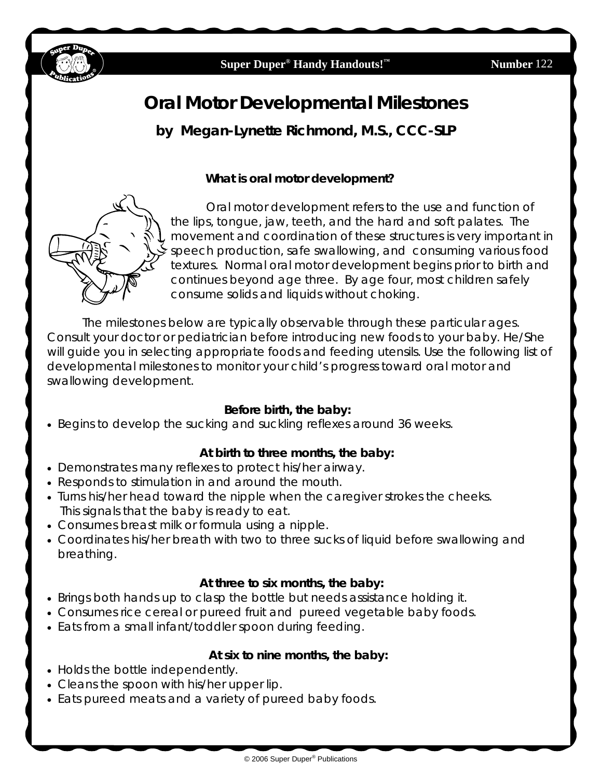

# **Oral Motor Developmental Milestones by Megan-Lynette Richmond, M.S., CCC-SLP**

#### **What is oral motor development?**



 Oral motor development refers to the use and function of the lips, tongue, jaw, teeth, and the hard and soft palates. The movement and coordination of these structures is very important in speech production, safe swallowing, and consuming various food textures. Normal oral motor development begins prior to birth and continues beyond age three. By age four, most children safely consume solids and liquids without choking.

 The milestones below are typically observable through these particular ages. Consult your doctor or pediatrician before introducing new foods to your baby. He/She will guide you in selecting appropriate foods and feeding utensils. Use the following list of developmental milestones to monitor your child's progress toward oral motor and swallowing development.

#### **Before birth, the baby:**

• Begins to develop the sucking and suckling reflexes around 36 weeks.

#### **At birth to three months, the baby:**

- Demonstrates many reflexes to protect his/her airway.
- Responds to stimulation in and around the mouth.
- Turns his/her head toward the nipple when the caregiver strokes the cheeks. This signals that the baby is ready to eat.
- Consumes breast milk or formula using a nipple.
- Coordinates his/her breath with two to three sucks of liquid before swallowing and breathing.

#### **At three to six months, the baby:**

- Brings both hands up to clasp the bottle but needs assistance holding it.
- Consumes rice cereal or pureed fruit and pureed vegetable baby foods.
- Eats from a small infant/toddler spoon during feeding.

#### **At six to nine months, the baby:**

- Holds the bottle independently.
- Cleans the spoon with his/her upper lip.
- Eats pureed meats and a variety of pureed baby foods.